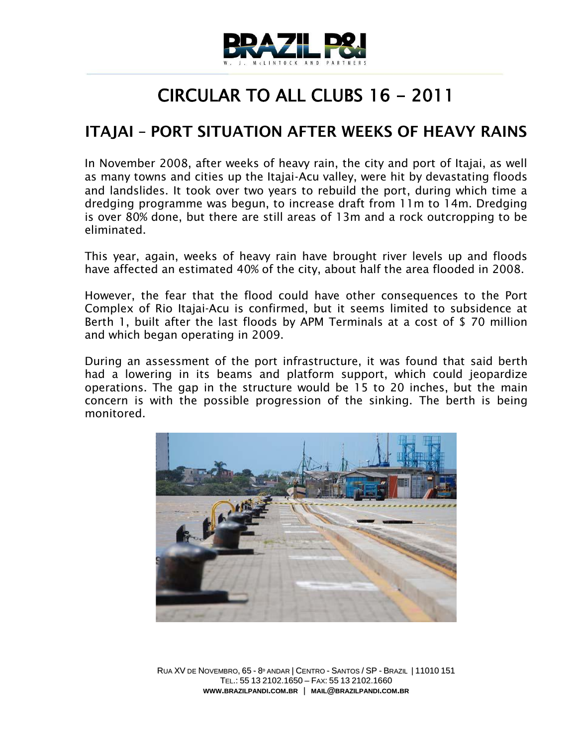

## CIRCULAR TO ALL CLUBS 16 - 2011

## **ITAJAI – PORT SITUATION AFTER WEEKS OF HEAVY RAINS**

In November 2008, after weeks of heavy rain, the city and port of Itajai, as well as many towns and cities up the Itajai‐Acu valley, were hit by devastating floods and landslides. It took over two years to rebuild the port, during which time a dredging programme was begun, to increase draft from 11m to 14m. Dredging is over 80% done, but there are still areas of 13m and a rock outcropping to be eliminated.

This year, again, weeks of heavy rain have brought river levels up and floods have affected an estimated 40% of the city, about half the area flooded in 2008.

However, the fear that the flood could have other consequences to the Port Complex of Rio Itajai-Acu is confirmed, but it seems limited to subsidence at Berth 1, built after the last floods by APM Terminals at a cost of \$ 70 million and which began operating in 2009.

During an assessment of the port infrastructure, it was found that said berth had a lowering in its beams and platform support, which could jeopardize operations. The gap in the structure would be 15 to 20 inches, but the main concern is with the possible progression of the sinking. The berth is being monitored.



RUA XV DE NOVEMBRO, 65 - 8º ANDAR | CENTRO - SANTOS / SP - BRAZIL | 11010 151 TEL.: 55 13 2102.1650 – FAX: 55 13 2102.1660 **WWW.BRAZILPANDI.COM.BR** | **MAIL@BRAZILPANDI.COM.BR**